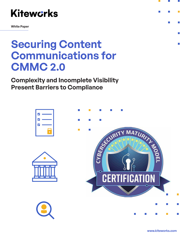

**White Paper**

## **Securing Content Communications for CMMC 2.0**

**Complexity and Incomplete Visibility Present Barriers to Compliance** 



**www.kiteworks.com**

**College** 

 $\mathcal{L}_{\mathcal{A}}$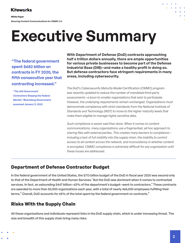**White Paper**

**Securing Content Communications for CMMC 2.0**

# **Executive Summary**

**"The federal government spent \$682 billion on contracts in FY 2020, the fifth consecutive year that contracting increased."**

 *"The 200 Government Contractors Shaping the Federal [Market," Bloomberg Government,](https://about.bgov.com/reports/bgov-200-federal-industry-leaders-2021/?bbgsum=DG-WP-BGOV-GC-H177314&utm_medium=pr&utm_source=COMMS)  accessed January 11, 2022.*

**With Department of Defense (DoD) contracts approaching half a trillion dollars annually, there are ample opportunities for various private businesses to become part of the Defense Industrial Base (DIB)—and make a healthy profit in doing so. But defense contractors face stringent requirements in many areas, including cybersecurity.**

*The DoD's Cybersecurity Maturity Model Certification (CMMC) program was recently updated to reduce the number of mandated third-party assessments—a boon to smaller organizations that wish to participate. However, the underlying requirements remain unchanged. Organizations must demonstrate compliance with strict standards from the National Institute of Standards and Technology (NIST) to move to the higher maturity levels that make them eligible to manage highly sensitive data.*

*Such compliance is easier said than done. When it comes to content communications, many organizations use a fragmented, ad hoc approach to sharing files with external parties. This creates many barriers to compliance* including a lack of full visibility into the supply chain, the inability to control *access to all content across the network, and inconsistency in whether content*  is encrypted. CMMC compliance is extremely difficult for any organization until *these issues are addressed.*

## **Department of Defense Contractor Budget**

In the federal government of the United States, the \$713 billion budget of the DoD in fiscal year 2020 was second only to that of the Department of Health and Human Services.<sup>1</sup> But the DoD was dominant when it comes to contracted services. In fact, an astounding \$447 billion—62% of the department's budget—went to contractors.<sup>2</sup> These contracts are awarded to more than 50,000 organizations each year, with a total of nearly 465,000 employees fulfilling their terms.<sup>3</sup> Overall, DoD accounts for 65% of the total spent by the federal government on contracts.<sup>4</sup>

## **Risks With the Supply Chain**

All these organizations and individuals represent links in the DoD supply chain, which is under increasing threat. The size and breadth of this supply chain bring many risks: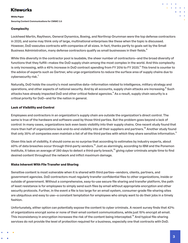#### **White Paper**

**Securing Content Communications for CMMC 2.0**

### **Complexity**

Lockheed Martin, Raytheon, General Dynamics, Boeing, and Northrop Grumman were the top defense contractors in 2020, and some may think only of large, multinational enterprises like these when the topic is discussed. However, DoD executes contracts with companies of all sizes. In fact, thanks partly to goals set by the Small Business Administration, many defense contractors qualify as small businesses in their fields.<sup>5</sup>

While this diversity in the contractor pool is laudable, the sheer number of contractors—and the broad diversity of functions that they fulfill—makes the DoD supply chain among the most complex in the world. And this complexity is only increasing, with a 45% increase in DoD contract spending from FY 2016 to FY 2020.<sup>6</sup> This trend is counter to the advice of experts such as Gartner, who urge organizations to *reduce* the surface area of supply chains due to cybersecurity risk.<sup>7</sup>

Naturally, DoD holds the country's most sensitive data—information related to intelligence, military strategy and operations, and other aspects of national security. And by all accounts, supply chain attacks are increasing. <sup>8</sup> Such attacks have already impacted DoD and other critical federal agencies.<sup>9</sup> As a result, supply chain security is a critical priority for DoD—and for the nation in general.

### **Lack of Visibility and Control**

Employees and contractors in an organization's supply chain are outside the organization's direct control. The same is true of the hardware and software used by those third parties. But the problem goes beyond a lack of control: In many cases, organizations lack even basic visibility into their supply chains. One recent study found that more than half of organizations lack end-to-end visibility into all their suppliers and partners.<sup>10</sup> Another study found that only 35% of companies even maintain a list of all the third parties with which they share sensitive information.<sup>11</sup>

Given this lack of visibility, it should come as no surprise that according to estimates by industry experts, about 60% of data breaches occur through third-party vendors.<sup>12</sup> Just as alarmingly, according to IBM and the Ponemon Institute, it takes an average of 280 days to detect a third-party breach,<sup>13</sup> giving cyber criminals ample time to find desired content throughout the network and inflict maximum damage.

#### **Risks Inherent With File Transfer and Sharing**

Sensitive content is most vulnerable when it is shared with third parties—vendors, clients, partners, and government agencies. DoD contractors must regularly transfer confidential files to other organizations, inside or outside of government. Without a comprehensive, easy-to-use secure file sharing and transfer platform, the path of least resistance is for employees to simply send such files by email without appropriate encryption and other security protocols. Further, in the event a file is too large for an email system, consumer-grade file-sharing sites are ubiquitous and easy to use—a constant temptation for employees who simply want to do their jobs in a timely fashion.

Unfortunately, either option can potentially expose the content to cyber criminals. A recent survey finds that 42% of organizations encrypt some or none of their email content communications, while just 15% encrypt all email. This inconsistency in encryption increases the risk of the content being intercepted.<sup>14</sup> And typical file-sharing services do not provide the level of protection required for a business, especially one that contracts with DoD.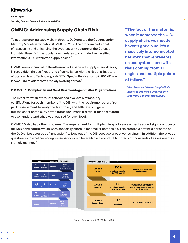**White Paper**

**Securing Content Communications for CMMC 2.0**

## **CMMC: Addressing Supply Chain Risk**

To address growing supply chain threats, DoD created the Cybersecurity Maturity Model Certification (CMMC) in 2019. The program had a goal of "assessing and enhancing the cybersecurity posture of the Defense Industrial Base (DIB), particularly as it relates to controlled unclassified information (CUI) within the supply chain."<sup>15</sup>

CMMC was announced in the aftermath of a series of supply chain attacks, in recognition that self-reporting of compliance with the National Institute of Standards and Technology's (NIST's) Special Publication (SP) 800-171 was inadequate to address the rapidly evolving threat.<sup>16</sup>

#### **CMMC 1.0: Complexity and Cost Disadvantage Smaller Organizations**

The initial iteration of CMMC envisioned five levels of maturity certifications for each member of the DIB, with the requirement of a thirdparty assessment to verify the first, third, and fifth levels (Figure 1). But the sheer complexity of the framework made it difficult for contractors to even understand what was required for each level.<sup>17</sup>

**"The fact of the matter is, when it comes to the U.S. supply chain, we mostly haven't got a clue. It's a massively interconnected network that represents an ecosystem—one with risks coming from all angles and multiple points of failure."**

 *[Oliver Freeman, "Biden's Supply Chain](https://supplychaindigital.com/supply-chain-risk-management/bidens-supply-chain-intentions-depend-cybersecurity)  Intentions Depend on Cybersecurity," Supply Chain Digital, May 10, 2021.*

CMMC 1.0 also had other problems. The requirement for multiple third-party assessments added significant costs for DoD contractors, which were especially onerous for smaller companies. This created a potential for some of the DoD's "best sources of innovation" to bow out of the DIB because of cost constraints.<sup>18</sup> In addition, there was a question as to whether enough assessors would be available to conduct hundreds of thousands of assessments in a timely manner.<sup>19</sup>



Figure 1. Comparison of CMMC 1.0 and 2.0.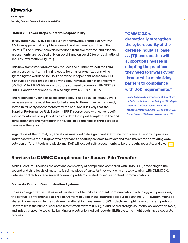**White Paper Securing Content Communications for CMMC 2.0**

#### **CMMC 2.0: Fewer Steps but More Responsibility**

In November 2021, DoD released a new framework, branded as CMMC 2.0, in an apparent attempt to address the shortcomings of the initial CMMC.<sup>20</sup> The number of levels is reduced from five to three, and triennial assessments are required only on Level 3 and on Level 2 for critical national security information (Figure 1).

This new framework dramatically reduces the number of required thirdparty assessments, minimizing costs for smaller organizations while lightening the workload for DoD's certified independent assessors. But it should be noted that the underlying requirements did not change from CMMC 1.0 to 2.0. Mid-level contractors still need to comply with NIST SP 800-171, and top-tier ones must also align with NIST SP 800-172.

The responsibility for self-assessment should not be taken lightly. Level 1 self-assessments must be conducted annually, three times as frequently as the third-party assessments they replace. And it is likely that the Supplier Performance Risk System (SPRS) scores used with current selfassessments will be replaced by a very detailed report template. In the end, some organizations may find that they still need the help of third parties to complete the report.<sup>21</sup>

**"CMMC 2.0 will dramatically strengthen the cybersecurity of the defense industrial base. . . . [T]hese updates will support businesses in adopting the practices they need to thwart cyber threats while minimizing barriers to compliance with DoD requirements."**

 *Jesse Salazar, Deputy Assistant Secretary [of Defense for Industrial Policy, in "Strategic](https://www.defense.gov/News/Releases/Release/Article/2833006/strategic-direction-for-cybersecurity-maturity-model-certification-cmmc-program/)  Direction for Cybersecurity Maturity Model Certification (CMMC) Program," U.S. Department of Defense, November 4, 2021.*

Regardless of the format, organizations must dedicate significant staff time to this annual reporting process, and those with a more fragmented approach to security controls must expend even more time correlating data between different tools and platforms. DoD will expect self-assessments to be thorough, accurate, and clear,  $\frac{1}{\sqrt{2}}$ 

## **Barriers to CMMC Compliance for Secure File Transfer**

While CMMC 2.0 reduces the cost and complexity of compliance compared with CMMC 1.0, advancing to the second and third levels of maturity is still no piece of cake. As they work on a strategy to align with CMMC 2.0, defense contractors face several common problems related to secure content communications:

#### **Disparate Content Communication Systems**

Unless an organization makes a deliberate effort to unify its content communication technology and processes, the default is a fragmented approach. Content housed in the enterprise resource planning (ERP) system might be shared in one way, while the customer relationship management (CRM) platform might have a different protocol. Content from the human resources information system (HRIS), cloud-based storage solutions, collaboration tools, and industry-specific tools like banking or electronic medical records (EMR) systems might each have a separate process.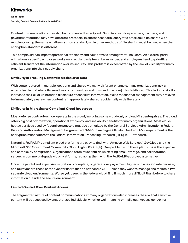#### **White Paper**

**Securing Content Communications for CMMC 2.0**

Content communications may also be fragmented by recipient. Suppliers, service providers, partners, and government entities may have different protocols. In another scenario, encrypted email could be shared with recipients using the same email encryption standard, while other methods of file sharing must be used when the encryption standard is different.

This complexity can impact operational efficiency and cause stress among front-line users. An external party with whom a specific employee works on a regular basis feels like an insider, and employees tend to prioritize efficient transfer of the information over its security. This problem is exacerbated by the lack of visibility for many organizations into their supply chain.

#### **Difficulty in Tracking Content in Motion or at Rest**

With content stored in multiple locations and shared via many different channels, many organizations lack an enterprise view of where its sensitive content resides and how (and to whom) it is distributed. This lack of visibility increases the risk of unintended disclosure of sensitive information. It also means that management may not even be immediately aware when content is inappropriately shared, accidentally or deliberately.

#### **Difficulty in Migrating to Compliant Cloud Resources**

Most defense contractors now operate in the cloud, including some cloud-only or cloud-first enterprises. The cloud offers big cost optimization, operational efficiency, and scalability benefits for many organizations. Most cloudhosted services used by federal contractors must be authorized by the General Services Administration's Federal Risk and Authorization Management Program (FedRAMP) to manage CUI data. One FedRAMP requirement is that encryption must adhere to the Federal Information Processing Standard (FIPS) 140-2 standard.

Naturally, FedRAMP-compliant cloud platforms are easy to find, with Amazon Web Services' GovCloud and the Microsoft 365 Government Community Cloud High (GCC High). One problem with these platforms is the expense and complexity of migration. Organizations often must shut down existing email, storage, and collaboration servers in commercial-grade cloud platforms, replacing them with the FedRAMP-approved alternative.

Once the painful and expensive migration is complete, organizations pay a much higher subscription rate per user, and must absorb these costs even for users that do not handle CUI—unless they want to manage and maintain two separate cloud environments. Worse yet, users in the federal cloud find it much more difficult than before to share information outside the secure environment.

### **Limited Control Over Content Access**

The fragmented nature of content communications at many organizations also increases the risk that sensitive content will be accessed by unauthorized individuals, whether well-meaning or malicious. Access control for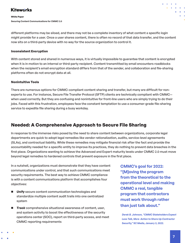#### **White Paper**

**Securing Content Communications for CMMC 2.0**

different platforms may be siloed, and there may not be a complete inventory of what content a specific login might provide for a user. Once a user shares content, there is often no record of that data transfer, and the content now sits on a third-party device with no way for the source organization to control it.

#### **Inconsistent Encryption**

With content stored and shared in numerous ways, it is virtually impossible to guarantee that content is encrypted when it is in motion to an internal or third-party recipient. Content transmitted by email encounters roadblocks when the recipient's email encryption standard differs from that of the sender, and collaboration and file-sharing platforms often do not encrypt data at all.

#### **Nonintuitive Tools**

There are numerous options for CMMC-compliant content sharing and transfer, but many are difficult for nonexperts to use. For instance, Secure File Transfer Protocol (SFTP) clients are technically compliant with CMMC when used correctly. But they are confusing and nonintuitive for front-line users who are simply trying to do their jobs. Faced with this frustration, employees face the constant temptation to use a consumer-grade file-sharing service to expedite file sharing during a busy workday.

## **Needed: A Comprehensive Approach to Secure File Sharing**

In response to the immense risks posed by the need to share content between organizations, corporate legal departments are quick to adopt legal remedies like vendor rationalization, audits, service-level agreements (SLAs), and contractual liability. While these remedies may mitigate financial risk after the fact and provide the accountability needed for a specific entity to improve its practices, they do nothing to prevent data breaches in the first place. Organizations wanting to achieve the Advanced and Expert maturity levels under CMMC 2.0 must move beyond legal remedies to hardened controls that prevent exposure in the first place.

In a nutshell, organizations must demonstrate that they have content communications under control, and that such communications meet security requirements. The best way to achieve CMMC compliance is with a content communications platform that accomplishes four objectives:

- **Unify** secure content communication technologies and standardize multiple content audit trails into one centralized system
- *Track* comprehensive situational awareness of content, user, and system activity to boost the effectiveness of the security operations center (SOC), report on third-party access, and meet CMMC reporting requirements

**CMMC's goal for 2022: "[M]oving the program from the theoretical to the operational level and making CMMC a real, tangible program that contractors must work through rather than just talk about."**

*[Derek B. Johnson, "CMMC Stakeholders Expect](https://www.scmagazine.com/analysis/compliance/cmmc-stakeholders-expect-less-talk-more-action-to-shore-up-contractor-security)  Less Talk, More Action to Shore Up Contractor Security," SC Media, January 3, 2022.*

**7**